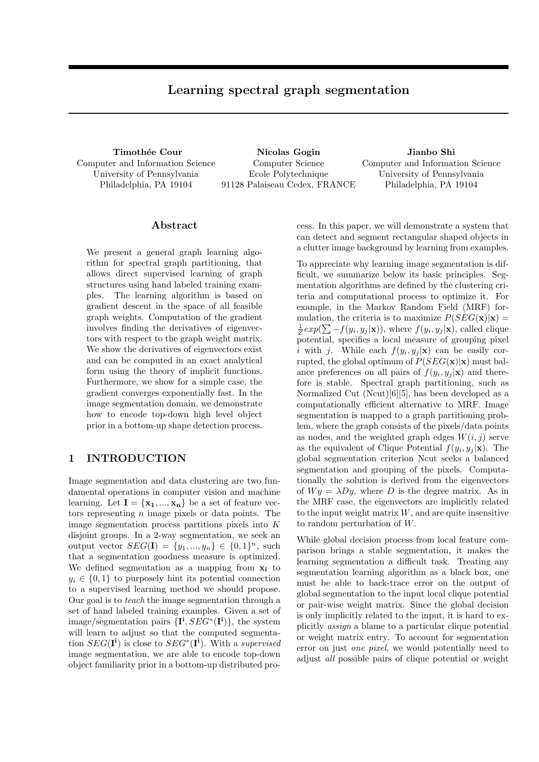# Learning spectral graph segmentation

Timothée Cour Computer and Information Science University of Pennsylvania Philadelphia, PA 19104

Nicolas Gogin Computer Science Ecole Polytechnique 91128 Palaiseau Cedex, FRANCE

Jianbo Shi Computer and Information Science University of Pennsylvania Philadelphia, PA 19104

#### Abstract

We present a general graph learning algorithm for spectral graph partitioning, that allows direct supervised learning of graph structures using hand labeled training examples. The learning algorithm is based on gradient descent in the space of all feasible graph weights. Computation of the gradient involves finding the derivatives of eigenvectors with respect to the graph weight matrix. We show the derivatives of eigenvectors exist and can be computed in an exact analytical form using the theory of implicit functions. Furthermore, we show for a simple case, the gradient converges exponentially fast. In the image segmentation domain, we demonstrate how to encode top-down high level object prior in a bottom-up shape detection process.

## 1 INTRODUCTION

Image segmentation and data clustering are two fundamental operations in computer vision and machine learning. Let  $I = \{x_1, ..., x_n\}$  be a set of feature vectors representing  $n$  image pixels or data points. The image segmentation process partitions pixels into K disjoint groups. In a 2-way segmentation, we seek an output vector  $SEG(I) = \{y_1, ..., y_n\} \in \{0, 1\}^n$ , such that a segmentation goodness measure is optimized. We defined segmentation as a mapping from  $x_i$  to  $y_i \in \{0,1\}$  to purposely hint its potential connection to a supervised learning method we should propose. Our goal is to teach the image segmentation through a set of hand labeled training examples. Given a set of image/segmentation pairs  ${\{\mathbf{I}^i, SEG^*(\mathbf{I}^i)\},\}$  the system will learn to adjust so that the computed segmentation  $SEG(I^i)$  is close to  $SEG^*(I^i)$ . With a supervised image segmentation, we are able to encode top-down object familiarity prior in a bottom-up distributed process. In this paper, we will demonstrate a system that can detect and segment rectangular shaped objects in a clutter image background by learning from examples.

To appreciate why learning image segmentation is difficult, we summarize below its basic principles. Segmentation algorithms are defined by the clustering criteria and computational process to optimize it. For example, in the Markov Random Field (MRF) formulation, the criteria is to maximize  $P(SEG(\mathbf{x})|\mathbf{x}) =$  $\frac{1}{Z} exp(\sum -f(y_i, y_j|\mathbf{x}))$ , where  $f(y_i, y_j|\mathbf{x})$ , called clique potential, specifies a local measure of grouping pixel i with j. While each  $f(y_i, y_j | \mathbf{x})$  can be easily corrupted, the global optimum of  $P(SEG(\mathbf{x})|\mathbf{x})$  must balance preferences on all pairs of  $f(y_i, y_j | \mathbf{x})$  and therefore is stable. Spectral graph partitioning, such as Normalized Cut (Ncut)[6][5], has been developed as a computationally efficient alternative to MRF. Image segmentation is mapped to a graph partitioning problem, where the graph consists of the pixels/data points as nodes, and the weighted graph edges  $W(i, j)$  serve as the equivalent of Clique Potential  $f(y_i, y_j | \mathbf{x})$ . The global segmentation criterion Ncut seeks a balanced segmentation and grouping of the pixels. Computationally the solution is derived from the eigenvectors of  $Wy = \lambda Dy$ , where D is the degree matrix. As in the MRF case, the eigenvectors are implicitly related to the input weight matrix  $W$ , and are quite insensitive to random perturbation of W.

While global decision process from local feature comparison brings a stable segmentation, it makes the learning segmentation a difficult task. Treating any segmentation learning algorithm as a black box, one must be able to back-trace error on the output of global segmentation to the input local clique potential or pair-wise weight matrix. Since the global decision is only implicitly related to the input, it is hard to explicitly assign a blame to a particular clique potential or weight matrix entry. To account for segmentation error on just one pixel, we would potentially need to adjust all possible pairs of clique potential or weight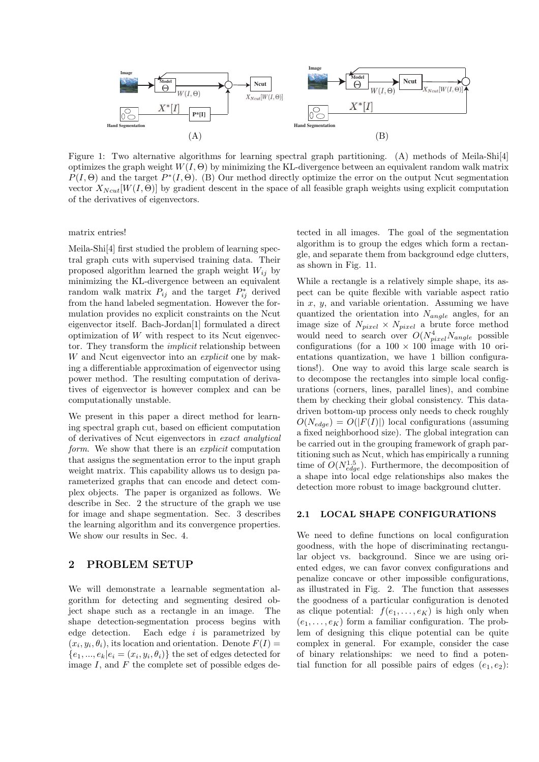

Figure 1: Two alternative algorithms for learning spectral graph partitioning. (A) methods of Meila-Shi[4] optimizes the graph weight  $W(I, \Theta)$  by minimizing the KL-divergence between an equivalent random walk matrix  $P(I, \Theta)$  and the target  $P^*(I, \Theta)$ . (B) Our method directly optimize the error on the output Ncut segmentation vector  $X_{Ncut}[W(I, \Theta)]$  by gradient descent in the space of all feasible graph weights using explicit computation of the derivatives of eigenvectors.

matrix entries!

Meila-Shi[4] first studied the problem of learning spectral graph cuts with supervised training data. Their proposed algorithm learned the graph weight  $W_{ij}$  by minimizing the KL-divergence between an equivalent random walk matrix  $P_{ij}$  and the target  $P_{ij}^*$  derived from the hand labeled segmentation. However the formulation provides no explicit constraints on the Ncut eigenvector itself. Bach-Jordan[1] formulated a direct optimization of  $W$  with respect to its Ncut eigenvector. They transform the implicit relationship between W and Ncut eigenvector into an *explicit* one by making a differentiable approximation of eigenvector using power method. The resulting computation of derivatives of eigenvector is however complex and can be computationally unstable.

We present in this paper a direct method for learning spectral graph cut, based on efficient computation of derivatives of Ncut eigenvectors in exact analytical form. We show that there is an *explicit* computation that assigns the segmentation error to the input graph weight matrix. This capability allows us to design parameterized graphs that can encode and detect complex objects. The paper is organized as follows. We describe in Sec. 2 the structure of the graph we use for image and shape segmentation. Sec. 3 describes the learning algorithm and its convergence properties. We show our results in Sec. 4.

### 2 PROBLEM SETUP

We will demonstrate a learnable segmentation algorithm for detecting and segmenting desired object shape such as a rectangle in an image. The shape detection-segmentation process begins with edge detection. Each edge  $i$  is parametrized by  $(x_i, y_i, \theta_i)$ , its location and orientation. Denote  $F(I)$  =  ${e_1, ..., e_k | e_i = (x_i, y_i, \theta_i)}$  the set of edges detected for image  $I$ , and  $F$  the complete set of possible edges detected in all images. The goal of the segmentation algorithm is to group the edges which form a rectangle, and separate them from background edge clutters, as shown in Fig. 11.

While a rectangle is a relatively simple shape, its aspect can be quite flexible with variable aspect ratio in  $x, y$ , and variable orientation. Assuming we have quantized the orientation into  $N_{anale}$  angles, for an image size of  $N_{pixel} \times N_{pixel}$  a brute force method would need to search over  $O(N_{pixel}^4 N_{angle}$  possible configurations (for a  $100 \times 100$  image with 10 orientations quantization, we have 1 billion configurations!). One way to avoid this large scale search is to decompose the rectangles into simple local configurations (corners, lines, parallel lines), and combine them by checking their global consistency. This datadriven bottom-up process only needs to check roughly  $O(N_{edge}) = O(|F(I)|)$  local configurations (assuming a fixed neighborhood size). The global integration can be carried out in the grouping framework of graph partitioning such as Ncut, which has empirically a running time of  $O(N_{edge}^{1.5})$ . Furthermore, the decomposition of a shape into local edge relationships also makes the detection more robust to image background clutter.

#### 2.1 LOCAL SHAPE CONFIGURATIONS

We need to define functions on local configuration goodness, with the hope of discriminating rectangular object vs. background. Since we are using oriented edges, we can favor convex configurations and penalize concave or other impossible configurations, as illustrated in Fig. 2. The function that assesses the goodness of a particular configuration is denoted as clique potential:  $f(e_1, \ldots, e_K)$  is high only when  $(e_1,\ldots,e_K)$  form a familiar configuration. The problem of designing this clique potential can be quite complex in general. For example, consider the case of binary relationships: we need to find a potential function for all possible pairs of edges  $(e_1, e_2)$ :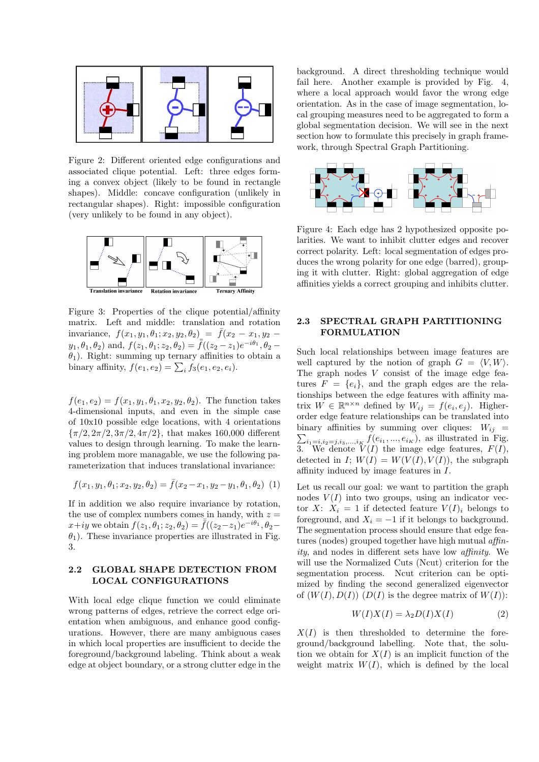

Figure 2: Different oriented edge configurations and associated clique potential. Left: three edges forming a convex object (likely to be found in rectangle shapes). Middle: concave configuration (unlikely in rectangular shapes). Right: impossible configuration (very unlikely to be found in any object).



Figure 3: Properties of the clique potential/affinity matrix. Left and middle: translation and rotation invariance,  $f(x_1,y_1,\theta_1;x_2,y_2,\theta_2) = \bar{f}(x_2-x_1,y_2$  $y_1, \theta_1, \theta_2$  and,  $f(z_1, \theta_1; z_2, \theta_2) = \overline{f}((z_2 - z_1)e^{-i\theta_1}, \theta_2 \theta_1$ ). Right: summing up ternary affinities to obtain a binary affinity,  $f(e_1, e_2) = \sum_i f_3(e_1, e_2, e_i)$ .

 $f(e_1, e_2) = f(x_1, y_1, \theta_1, x_2, y_2, \theta_2)$ . The function takes 4-dimensional inputs, and even in the simple case of 10x10 possible edge locations, with 4 orientations  ${\pi/2, 2\pi/2, 3\pi/2, 4\pi/2}$ , that makes 160,000 different values to design through learning. To make the learning problem more managable, we use the following parameterization that induces translational invariance:

$$
f(x_1, y_1, \theta_1; x_2, y_2, \theta_2) = \bar{f}(x_2 - x_1, y_2 - y_1, \theta_1, \theta_2)
$$
 (1)

If in addition we also require invariance by rotation, the use of complex numbers comes in handy, with  $z =$  $x+iy$  we obtain  $f(z_1, \theta_1; z_2, \theta_2) = \bar{f}((z_2 - z_1)e^{-i\theta_1}, \theta_2 \theta_1$ ). These invariance properties are illustrated in Fig. 3.

### 2.2 GLOBAL SHAPE DETECTION FROM LOCAL CONFIGURATIONS

With local edge clique function we could eliminate wrong patterns of edges, retrieve the correct edge orientation when ambiguous, and enhance good configurations. However, there are many ambiguous cases in which local properties are insufficient to decide the foreground/background labeling. Think about a weak edge at object boundary, or a strong clutter edge in the

background. A direct thresholding technique would fail here. Another example is provided by Fig. 4, where a local approach would favor the wrong edge orientation. As in the case of image segmentation, local grouping measures need to be aggregated to form a global segmentation decision. We will see in the next section how to formulate this precisely in graph framework, through Spectral Graph Partitioning.



Figure 4: Each edge has 2 hypothesized opposite polarities. We want to inhibit clutter edges and recover correct polarity. Left: local segmentation of edges produces the wrong polarity for one edge (barred), grouping it with clutter. Right: global aggregation of edge affinities yields a correct grouping and inhibits clutter.

#### 2.3 SPECTRAL GRAPH PARTITIONING FORMULATION

Such local relationships between image features are well captured by the notion of graph  $G = \langle V, W \rangle$ . The graph nodes  $V$  consist of the image edge features  $F = \{e_i\}$ , and the graph edges are the relationships between the edge features with affinity matrix  $W \in \mathbb{R}^{n \times n}$  defined by  $W_{ij} = f(e_i, e_j)$ . Higherorder edge feature relationships can be translated into binary affinities by summing over cliques:  $W_{ij}$  =  $\sum_{i_1=i, i_2=j, i_3,\dots,i_K} f(e_{i_1},...,e_{i_K}),$  as illustrated in Fig. 3. We denote  $V(I)$  the image edge features,  $F(I)$ , detected in I;  $W(I) = W(V(I), V(I))$ , the subgraph affinity induced by image features in I.

Let us recall our goal: we want to partition the graph nodes  $V(I)$  into two groups, using an indicator vector X:  $X_i = 1$  if detected feature  $V(I)_i$  belongs to foreground, and  $X_i = -1$  if it belongs to background. The segmentation process should ensure that edge features (nodes) grouped together have high mutual affinity, and nodes in different sets have low affinity. We will use the Normalized Cuts (Ncut) criterion for the segmentation process. Ncut criterion can be optimized by finding the second generalized eigenvector of  $(W(I), D(I))$   $(D(I)$  is the degree matrix of  $W(I)$ :

$$
W(I)X(I) = \lambda_2 D(I)X(I)
$$
 (2)

 $X(I)$  is then thresholded to determine the foreground/background labelling. Note that, the solution we obtain for  $X(I)$  is an implicit function of the weight matrix  $W(I)$ , which is defined by the local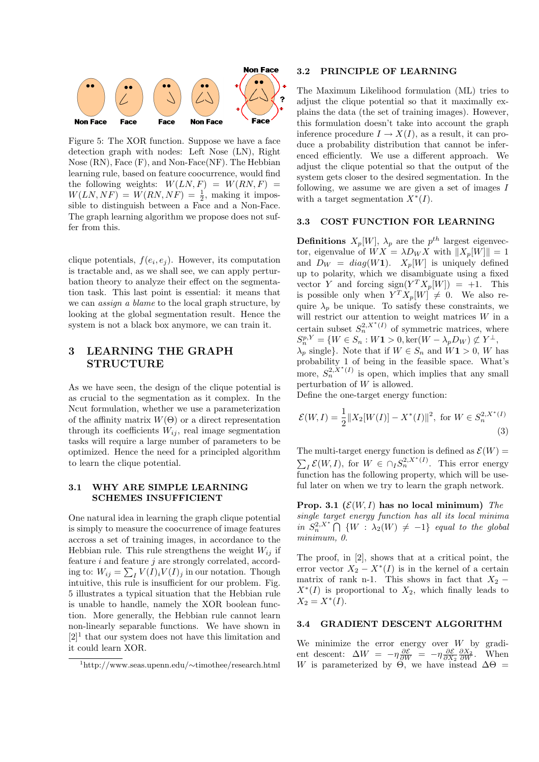

Figure 5: The XOR function. Suppose we have a face detection graph with nodes: Left Nose (LN), Right Nose (RN), Face (F), and Non-Face(NF). The Hebbian learning rule, based on feature coocurrence, would find the following weights:  $W(LN, F) = W(RN, F) =$  $W(LN, NF) = W(RN, NF) = \frac{1}{2}$ , making it impossible to distinguish between a Face and a Non-Face. The graph learning algorithm we propose does not suffer from this.

clique potentials,  $f(e_i, e_j)$ . However, its computation is tractable and, as we shall see, we can apply perturbation theory to analyze their effect on the segmentation task. This last point is essential: it means that we can assign a blame to the local graph structure, by looking at the global segmentation result. Hence the system is not a black box anymore, we can train it.

# 3 LEARNING THE GRAPH STRUCTURE

As we have seen, the design of the clique potential is as crucial to the segmentation as it complex. In the Ncut formulation, whether we use a parameterization of the affinity matrix  $W(\Theta)$  or a direct representation through its coefficients  $W_{ij}$ , real image segmentation tasks will require a large number of parameters to be optimized. Hence the need for a principled algorithm to learn the clique potential.

#### 3.1 WHY ARE SIMPLE LEARNING SCHEMES INSUFFICIENT

One natural idea in learning the graph clique potential is simply to measure the coocurrence of image features accross a set of training images, in accordance to the Hebbian rule. This rule strengthens the weight  $W_{ij}$  if feature  $i$  and feature  $j$  are strongly correlated, according to:  $W_{ij} = \sum_{I} V(I)_{i} V(I)_{j}$  in our notation. Though intuitive, this rule is insufficient for our problem. Fig. 5 illustrates a typical situation that the Hebbian rule is unable to handle, namely the XOR boolean function. More generally, the Hebbian rule cannot learn non-linearly separable functions. We have shown in  $[2]$ <sup>1</sup> that our system does not have this limitation and it could learn XOR.

#### 3.2 PRINCIPLE OF LEARNING

The Maximum Likelihood formulation (ML) tries to adjust the clique potential so that it maximally explains the data (the set of training images). However, this formulation doesn't take into account the graph inference procedure  $I \to X(I)$ , as a result, it can produce a probability distribution that cannot be inferenced efficiently. We use a different approach. We adjust the clique potential so that the output of the system gets closer to the desired segmentation. In the following, we assume we are given a set of images  $I$ with a target segmentation  $X^*(I)$ .

#### 3.3 COST FUNCTION FOR LEARNING

**Definitions**  $X_p[W]$ ,  $\lambda_p$  are the  $p^{th}$  largest eigenvector, eigenvalue of  $WX = \lambda D_W X$  with  $||X_p[W]|| = 1$ and  $D_W = diag(W1)$ .  $X_p[W]$  is uniquely defined up to polarity, which we disambiguate using a fixed vector Y and forcing  $sign(Y^T X_p[W]) = +1$ . This is possible only when  $Y^T X_p[W] \neq 0$ . We also require  $\lambda_p$  be unique. To satisfy these constraints, we will restrict our attention to weight matrices W in a certain subset  $S_n^{2,X^*(I)}$  of symmetric matrices, where  $S_n^{p,Y} = \{W \in S_n : W\mathbf{1} > 0, \text{ker}(W - \lambda_p D_W) \not\subset Y^{\perp},\}$  $\lambda_p$  single}. Note that if  $W \in S_n$  and  $W_1 > 0$ , W has probability 1 of being in the feasible space. What's more,  $S_n^{2,X^*(I)}$  is open, which implies that any small perturbation of  $W$  is allowed.

Define the one-target energy function:

$$
\mathcal{E}(W,I) = \frac{1}{2} \|X_2[W(I)] - X^*(I)\|^2, \text{ for } W \in S_n^{2,X^*(I)}
$$
\n(3)

The multi-target energy function is defined as  $\mathcal{E}(W) =$  $\sum_{I} \mathcal{E}(W, I)$ , for  $W \in \bigcap_{I} S_n^{2, X^*(I)}$ . This error energy function has the following property, which will be useful later on when we try to learn the graph network.

Prop. 3.1 ( $\mathcal{E}(W,I)$  has no local minimum) The single target energy function has all its local minima in  $S_n^{2,X^*} \cap \{W : \lambda_2(W) \neq -1\}$  equal to the global minimum, 0.

The proof, in [2], shows that at a critical point, the error vector  $X_2 - X^*(I)$  is in the kernel of a certain matrix of rank n-1. This shows in fact that  $X_2$  −  $X^*(I)$  is proportional to  $X_2$ , which finally leads to  $X_2 = X^*(I).$ 

#### 3.4 GRADIENT DESCENT ALGORITHM

We minimize the error energy over W by gradient descent:  $\Delta W = -\eta \frac{\partial \mathcal{E}}{\partial W} = -\eta \frac{\partial \mathcal{E}}{\partial X_2} \frac{\partial X_2}{\partial W}$ . When W is parameterized by  $\Theta$ , we have instead  $\Delta\Theta =$ 

<sup>1</sup>http://www.seas.upenn.edu/∼timothee/research.html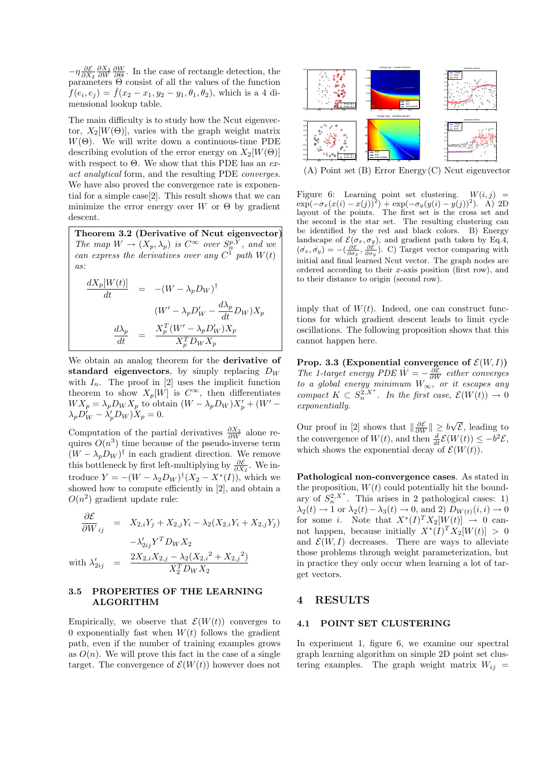$-\eta \frac{\partial \mathcal{E}}{\partial X_2} \frac{\partial X_2}{\partial W} \frac{\partial W}{\partial \Theta}$ . In the case of rectangle detection, the parameters Θ consist of all the values of the function  $f(e_i, e_j) = \bar{f}(x_2 - x_1, y_2 - y_1, \theta_1, \theta_2)$ , which is a 4 dimensional lookup table.

The main difficulty is to study how the Ncut eigenvector,  $X_2[W(\Theta)]$ , varies with the graph weight matrix  $W(\Theta)$ . We will write down a continuous-time PDE describing evolution of the error energy on  $X_2[W(\Theta)]$ with respect to  $\Theta$ . We show that this PDE has an  $ex$ act analytical form, and the resulting PDE converges. We have also proved the convergence rate is exponential for a simple case[2]. This result shows that we can minimize the error energy over W or  $\Theta$  by gradient descent.

Theorem 3.2 (Derivative of Ncut eigenvector) The map  $W \to (X_p, \lambda_p)$  is  $C^{\infty}$  over  $S_n^{p, Y}$ , and we can express the derivatives over any  $C^1$  path  $W(t)$  $as:$ 

$$
\frac{dX_p[W(t)]}{dt} = -(W - \lambda_p D_W)^{\dagger}
$$

$$
\frac{(W' - \lambda_p D_W' - \frac{d\lambda_p}{dt} D_W)X_p}{\frac{d\lambda_p}{dt}} = \frac{X_p^T (W' - \lambda_p D_W')X_p}{X_p^T D_W X_p}
$$

We obtain an analog theorem for the derivative of standard eigenvectors, by simply replacing  $D_W$ with  $I_n$ . The proof in [2] uses the implicit function theorem to show  $X_p[W]$  is  $C^{\infty}$ , then differentiates  $WX_p = \lambda_p D_W X_p$  to obtain  $(W - \lambda_p D_W) X'_p + (W' \lambda_p D_W^{\prime} - \lambda_p^{\prime} D_W^{\prime} X_p = 0.$ 

Computation of the partial derivatives  $\frac{\partial X_2}{\partial W}$  alone requires  $O(n^3)$  time because of the pseudo-inverse term  $(W - \lambda_p D_W)^\dagger$  in each gradient direction. We remove this bottleneck by first left-multiplying by  $\frac{\partial \mathcal{E}}{\partial X_2}$ . We introduce  $Y = -(W - \lambda_2 D_W)^{\dagger} (X_2 - X^*(I))$ , which we showed how to compute efficiently in [2], and obtain a  $O(n^2)$  gradient update rule:

$$
\frac{\partial \mathcal{E}}{\partial W_{ij}} = X_{2,i}Y_j + X_{2,j}Y_i - \lambda_2(X_{2,i}Y_i + X_{2,j}Y_j) \n- \lambda'_{2ij}Y^T D_W X_2 \n\text{with } \lambda'_{2ij} = \frac{2X_{2,i}X_{2,j} - \lambda_2(X_{2,i}^2 + X_{2,j}^2)}{X_2^T D_W X_2}
$$

#### 3.5 PROPERTIES OF THE LEARNING ALGORITHM

Empirically, we observe that  $\mathcal{E}(W(t))$  converges to 0 exponentially fast when  $W(t)$  follows the gradient path, even if the number of training examples grows as  $O(n)$ . We will prove this fact in the case of a single target. The convergence of  $\mathcal{E}(W(t))$  however does not



(A) Point set (B) Error Energy(C) Ncut eigenvector

Figure 6: Learning point set clustering.  $W(i, j)$  =  $\exp(-\sigma_x(x(i) - x(j))^2) + \exp(-\sigma_y(y(i) - y(j))^2)$ . A) 2D layout of the points. The first set is the cross set and the second is the star set. The resulting clustering can be identified by the red and black colors. B) Energy landscape of  $\mathcal{E}(\sigma_x, \sigma_y)$ , and gradient path taken by Eq.4,  $(\sigma_x, \sigma_y) = -(\frac{\partial \mathcal{E}}{\partial \sigma_x}, \frac{\partial \mathcal{E}}{\partial \sigma_y})$ . C) Target vector comparing with initial and final learned Ncut vector. The graph nodes are ordered according to their x-axis position (first row), and to their distance to origin (second row).

imply that of  $W(t)$ . Indeed, one can construct functions for which gradient descent leads to limit cycle oscillations. The following proposition shows that this cannot happen here.

**Prop. 3.3 (Exponential convergence of**  $\mathcal{E}(W, I)$ ) The 1-target energy PDE  $\dot{W} = -\frac{\partial \mathcal{E}}{\partial W}$  either converges to a global energy minimum  $W_{\infty}$ , or it escapes any compact  $K \subset S_n^{2,X^*}$ . In the first case,  $\mathcal{E}(W(t)) \to 0$ exponentially.

Our proof in [2] shows that  $\|\frac{\partial \mathcal{E}}{\partial W}\| \ge b\sqrt{\mathcal{E}}$ , leading to the convergence of  $W(t)$ , and then  $\frac{d}{dt}\mathcal{E}(W(t)) \leq -b^2 \mathcal{E}$ , which shows the exponential decay of  $\mathcal{E}(W(t))$ .

Pathological non-convergence cases. As stated in the proposition,  $W(t)$  could potentially hit the boundary of  $S_n^2$ <sup>x\*</sup>. This arises in 2 pathological cases: 1)  $\lambda_2(t) \rightarrow 1$  or  $\lambda_2(t) - \lambda_3(t) \rightarrow 0$ , and 2)  $D_{W(t)}(i, i) \rightarrow 0$ for some i. Note that  $X^*(I)^T X_2[W(t)] \rightarrow 0$  cannot happen, because initially  $X^*(I)^T X_2[W(t)] > 0$ and  $\mathcal{E}(W, I)$  decreases. There are ways to alleviate those problems through weight parameterization, but in practice they only occur when learning a lot of target vectors.

## 4 RESULTS

#### 4.1 POINT SET CLUSTERING

In experiment 1, figure 6, we examine our spectral graph learning algorithm on simple 2D point set clustering examples. The graph weight matrix  $W_{ij}$  =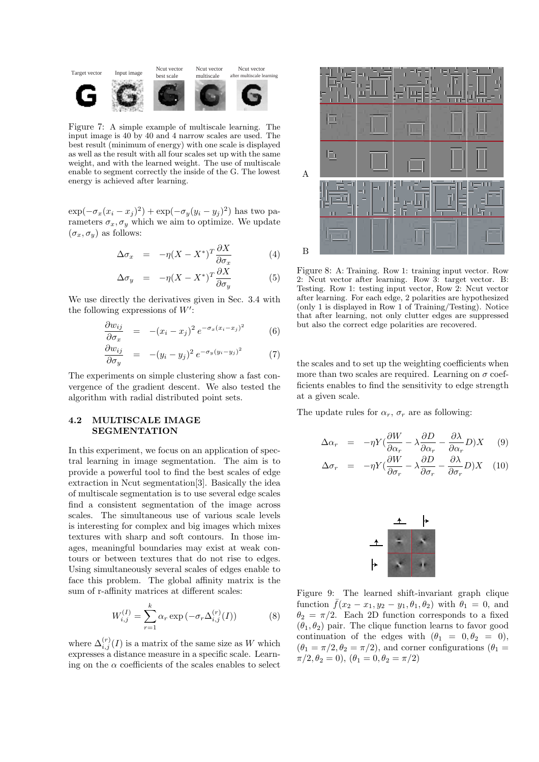

Figure 7: A simple example of multiscale learning. The input image is 40 by 40 and 4 narrow scales are used. The best result (minimum of energy) with one scale is displayed as well as the result with all four scales set up with the same weight, and with the learned weight. The use of multiscale enable to segment correctly the inside of the G. The lowest energy is achieved after learning.

 $\exp(-\sigma_x(x_i-x_j)^2) + \exp(-\sigma_y(y_i-y_j)^2)$  has two parameters  $\sigma_x, \sigma_y$  which we aim to optimize. We update  $(\sigma_x, \sigma_y)$  as follows:

$$
\Delta \sigma_x = -\eta (X - X^*)^T \frac{\partial X}{\partial \sigma_x} \tag{4}
$$

$$
\Delta \sigma_y = -\eta (X - X^*)^T \frac{\partial X}{\partial \sigma_y} \tag{5}
$$

We use directly the derivatives given in Sec. 3.4 with the following expressions of  $W'$ :

$$
\frac{\partial w_{ij}}{\partial \sigma_x} = -(x_i - x_j)^2 e^{-\sigma_x (x_i - x_j)^2}
$$
(6)

$$
\frac{\partial w_{ij}}{\partial \sigma_y} = -(y_i - y_j)^2 e^{-\sigma_y (y_i - y_j)^2}
$$
 (7)

The experiments on simple clustering show a fast convergence of the gradient descent. We also tested the algorithm with radial distributed point sets.

#### 4.2 MULTISCALE IMAGE SEGMENTATION

In this experiment, we focus on an application of spectral learning in image segmentation. The aim is to provide a powerful tool to find the best scales of edge extraction in Ncut segmentation[3]. Basically the idea of multiscale segmentation is to use several edge scales find a consistent segmentation of the image across scales. The simultaneous use of various scale levels is interesting for complex and big images which mixes textures with sharp and soft contours. In those images, meaningful boundaries may exist at weak contours or between textures that do not rise to edges. Using simultaneously several scales of edges enable to face this problem. The global affinity matrix is the sum of r-affinity matrices at different scales:

$$
W_{i,j}^{(I)} = \sum_{r=1}^{k} \alpha_r \exp(-\sigma_r \Delta_{i,j}^{(r)}(I))
$$
 (8)

where  $\Delta_{i,j}^{(r)}(I)$  is a matrix of the same size as W which expresses a distance measure in a specific scale. Learning on the  $\alpha$  coefficients of the scales enables to select



Figure 8: A: Training. Row 1: training input vector. Row 2: Ncut vector after learning. Row 3: target vector. B: Testing. Row 1: testing input vector, Row 2: Ncut vector after learning. For each edge, 2 polarities are hypothesized (only 1 is displayed in Row 1 of Training/Testing). Notice that after learning, not only clutter edges are suppressed but also the correct edge polarities are recovered.

the scales and to set up the weighting coefficients when more than two scales are required. Learning on  $\sigma$  coefficients enables to find the sensitivity to edge strength at a given scale.

The update rules for  $\alpha_r$ ,  $\sigma_r$  are as following:

$$
\Delta \alpha_r = -\eta Y \left(\frac{\partial W}{\partial \alpha_r} - \lambda \frac{\partial D}{\partial \alpha_r} - \frac{\partial \lambda}{\partial \alpha_r} D\right) X \quad (9)
$$

$$
\Delta \sigma_r = -\eta Y (\frac{\partial W}{\partial \sigma_r} - \lambda \frac{\partial D}{\partial \sigma_r} - \frac{\partial \lambda}{\partial \sigma_r} D) X \quad (10)
$$



Figure 9: The learned shift-invariant graph clique function  $f(x_2 - x_1, y_2 - y_1, \theta_1, \theta_2)$  with  $\theta_1 = 0$ , and  $\theta_2 = \pi/2$ . Each 2D function corresponds to a fixed  $(\theta_1, \theta_2)$  pair. The clique function learns to favor good continuation of the edges with  $(\theta_1 = 0, \theta_2 = 0)$ ,  $(\theta_1 = \pi/2, \theta_2 = \pi/2)$ , and corner configurations  $(\theta_1 =$  $\pi/2, \theta_2 = 0$ ,  $(\theta_1 = 0, \theta_2 = \pi/2)$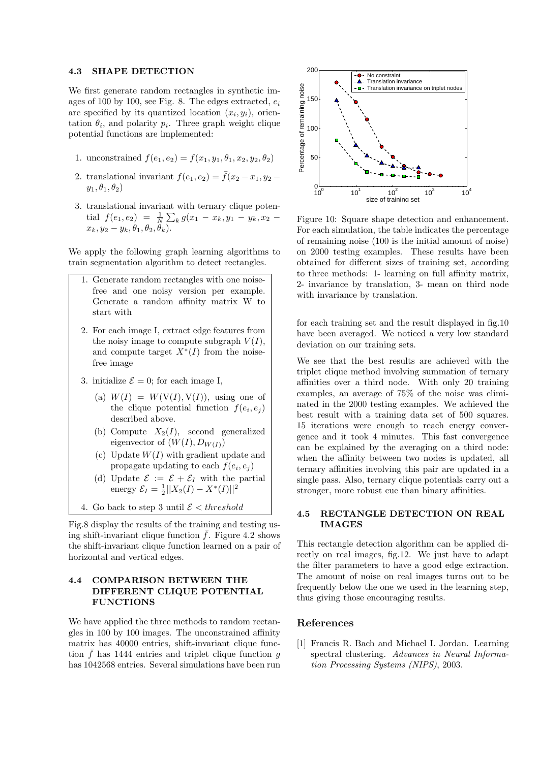#### 4.3 SHAPE DETECTION

We first generate random rectangles in synthetic images of 100 by 100, see Fig. 8. The edges extracted,  $e_i$ are specified by its quantized location  $(x_i, y_i)$ , orientation  $\theta_i$ , and polarity  $p_i$ . Three graph weight clique potential functions are implemented:

- 1. unconstrained  $f(e_1,e_2) = f(x_1,y_1,\theta_1,x_2,y_2,\theta_2)$
- 2. translational invariant  $f(e_1,e_2) = \overline{f}(x_2-x_1,y_2-\overline{f}(x_1-x_1))$  $y_1, \theta_1, \theta_2$
- 3. translational invariant with ternary clique potential  $f(e_1, e_2) = \frac{1}{N} \sum_k g(x_1 - x_k, y_1 - y_k, x_2$  $x_k, y_2 - y_k, \theta_1, \theta_2, \theta_k$ ).

We apply the following graph learning algorithms to train segmentation algorithm to detect rectangles.

- 1. Generate random rectangles with one noisefree and one noisy version per example. Generate a random affinity matrix W to start with
- 2. For each image I, extract edge features from the noisy image to compute subgraph  $V(I)$ , and compute target  $X^*(I)$  from the noisefree image
- 3. initialize  $\mathcal{E} = 0$ ; for each image I,
	- (a)  $W(I) = W(V(I), V(I))$ , using one of the clique potential function  $f(e_i, e_j)$ described above.
	- (b) Compute  $X_2(I)$ , second generalized eigenvector of  $(W(I), D_{W(I)})$
	- (c) Update  $W(I)$  with gradient update and propagate updating to each  $f(e_i, e_j)$
	- (d) Update  $\mathcal{E} := \mathcal{E} + \mathcal{E}_I$  with the partial energy  $\mathcal{E}_I = \frac{1}{2} ||X_2(I) - X^*(I)||^2$
- 4. Go back to step 3 until  $\mathcal{E} < threshold$

Fig.8 display the results of the training and testing using shift-invariant clique function  $\bar{f}$ . Figure 4.2 shows the shift-invariant clique function learned on a pair of horizontal and vertical edges.

### 4.4 COMPARISON BETWEEN THE DIFFERENT CLIQUE POTENTIAL FUNCTIONS

We have applied the three methods to random rectangles in 100 by 100 images. The unconstrained affinity matrix has 40000 entries, shift-invariant clique function  $\bar{f}$  has 1444 entries and triplet clique function q has 1042568 entries. Several simulations have been run



Figure 10: Square shape detection and enhancement. For each simulation, the table indicates the percentage of remaining noise (100 is the initial amount of noise) on 2000 testing examples. These results have been obtained for different sizes of training set, according to three methods: 1- learning on full affinity matrix, 2- invariance by translation, 3- mean on third node with invariance by translation.

for each training set and the result displayed in fig.10 have been averaged. We noticed a very low standard deviation on our training sets.

We see that the best results are achieved with the triplet clique method involving summation of ternary affinities over a third node. With only 20 training examples, an average of 75% of the noise was eliminated in the 2000 testing examples. We achieved the best result with a training data set of 500 squares. 15 iterations were enough to reach energy convergence and it took 4 minutes. This fast convergence can be explained by the averaging on a third node: when the affinity between two nodes is updated, all ternary affinities involving this pair are updated in a single pass. Also, ternary clique potentials carry out a stronger, more robust cue than binary affinities.

#### 4.5 RECTANGLE DETECTION ON REAL IMAGES

This rectangle detection algorithm can be applied directly on real images, fig.12. We just have to adapt the filter parameters to have a good edge extraction. The amount of noise on real images turns out to be frequently below the one we used in the learning step, thus giving those encouraging results.

#### References

[1] Francis R. Bach and Michael I. Jordan. Learning spectral clustering. Advances in Neural Information Processing Systems (NIPS), 2003.